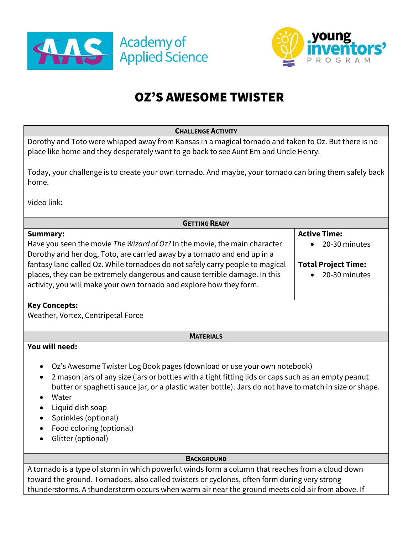



# OZ'S AWESOME TWISTER

| Dorothy and Toto were whipped away from Kansas in a magical tornado and taken to Oz. But there is no<br>place like home and they desperately want to go back to see Aunt Em and Uncle Henry.<br>Today, your challenge is to create your own tornado. And maybe, your tornado can bring them safely back                                                                                                                                                  |
|----------------------------------------------------------------------------------------------------------------------------------------------------------------------------------------------------------------------------------------------------------------------------------------------------------------------------------------------------------------------------------------------------------------------------------------------------------|
|                                                                                                                                                                                                                                                                                                                                                                                                                                                          |
| home.                                                                                                                                                                                                                                                                                                                                                                                                                                                    |
| Video link:                                                                                                                                                                                                                                                                                                                                                                                                                                              |
| <b>GETTING READY</b>                                                                                                                                                                                                                                                                                                                                                                                                                                     |
| <b>Active Time:</b><br><b>Summary:</b>                                                                                                                                                                                                                                                                                                                                                                                                                   |
| Have you seen the movie The Wizard of Oz? In the movie, the main character<br>20-30 minutes<br>Dorothy and her dog, Toto, are carried away by a tornado and end up in a                                                                                                                                                                                                                                                                                  |
| fantasy land called Oz. While tornadoes do not safely carry people to magical<br><b>Total Project Time:</b>                                                                                                                                                                                                                                                                                                                                              |
| places, they can be extremely dangerous and cause terrible damage. In this<br>20-30 minutes                                                                                                                                                                                                                                                                                                                                                              |
| activity, you will make your own tornado and explore how they form.                                                                                                                                                                                                                                                                                                                                                                                      |
| <b>Key Concepts:</b><br>Weather, Vortex, Centripetal Force                                                                                                                                                                                                                                                                                                                                                                                               |
| <b>MATERIALS</b>                                                                                                                                                                                                                                                                                                                                                                                                                                         |
| You will need:<br>Oz's Awesome Twister Log Book pages (download or use your own notebook)<br>$\bullet$<br>2 mason jars of any size (jars or bottles with a tight fitting lids or caps such as an empty peanut<br>$\bullet$<br>butter or spaghetti sauce jar, or a plastic water bottle). Jars do not have to match in size or shape.<br>Water<br>$\bullet$<br>Liquid dish soap<br>Sprinkles (optional)<br>Food coloring (optional)<br>Glitter (optional) |
| <b>BACKGROUND</b>                                                                                                                                                                                                                                                                                                                                                                                                                                        |
| A tornado is a type of storm in which powerful winds form a column that reaches from a cloud down                                                                                                                                                                                                                                                                                                                                                        |
| toward the ground. Tornadoes, also called twisters or cyclones, often form during very strong                                                                                                                                                                                                                                                                                                                                                            |
| thunderstorms. A thunderstorm occurs when warm air near the ground meets cold air from above. If                                                                                                                                                                                                                                                                                                                                                         |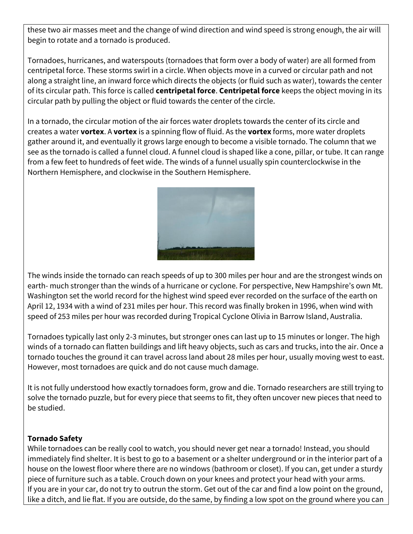these two air masses meet and the change of wind direction and wind speed is strong enough, the air will begin to rotate and a tornado is produced.

Tornadoes, hurricanes, and waterspouts (tornadoes that form over a body of water) are all formed from centripetal force. These storms swirl in a circle. When objects move in a curved or circular path and not along a straight line, an inward force which directs the objects (or fluid such as water), towards the center of its circular path. This force is called **centripetal force**. **Centripetal force** keeps the object moving in its circular path by pulling the object or fluid towards the center of the circle.

In a tornado, the circular motion of the air forces water droplets towards the center of its circle and creates a water **vortex**. A **vortex** is a spinning flow of fluid. As the **vortex** forms, more water droplets gather around it, and eventually it grows large enough to become a visible tornado. The column that we see as the tornado is called a funnel cloud. A funnel cloud is shaped like a cone, pillar, or tube. It can range from a few feet to hundreds of feet wide. The winds of a funnel usually spin counterclockwise in the Northern Hemisphere, and clockwise in the Southern Hemisphere.



The winds inside the tornado can reach speeds of up to 300 miles per hour and are the strongest winds on earth- much stronger than the winds of a hurricane or cyclone. For perspective, New Hampshire's own Mt. Washington set the world record for the highest wind speed ever recorded on the surface of the earth on April 12, 1934 with a wind of 231 miles per hour. This record was finally broken in 1996, when wind with speed of 253 miles per hour was recorded during Tropical Cyclone Olivia in Barrow Island, Australia.

Tornadoes typically last only 2-3 minutes, but stronger ones can last up to 15 minutes or longer. The high winds of a tornado can flatten buildings and lift heavy objects, such as cars and trucks, into the air. Once a tornado touches the ground it can travel across land about 28 miles per hour, usually moving west to east. However, most tornadoes are quick and do not cause much damage.

It is not fully understood how exactly tornadoes form, grow and die. Tornado researchers are still trying to solve the tornado puzzle, but for every piece that seems to fit, they often uncover new pieces that need to be studied.

## **Tornado Safety**

While tornadoes can be really cool to watch, you should never get near a tornado! Instead, you should immediately find shelter. It is best to go to a basement or a shelter underground or in the interior part of a house on the lowest floor where there are no windows (bathroom or closet). If you can, get under a sturdy piece of furniture such as a table. Crouch down on your knees and protect your head with your arms. If you are in your car, do not try to outrun the storm. Get out of the car and find a low point on the ground, like a ditch, and lie flat. If you are outside, do the same, by finding a low spot on the ground where you can